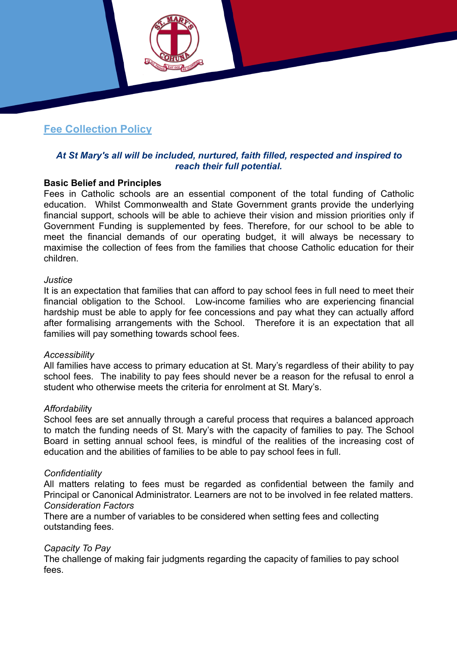## **Fee Collection Policy**

## *At St Mary's all will be included, nurtured, faith filled, respected and inspired to reach their full potential.*

#### **Basic Belief and Principles**

Fees in Catholic schools are an essential component of the total funding of Catholic education. Whilst Commonwealth and State Government grants provide the underlying financial support, schools will be able to achieve their vision and mission priorities only if Government Funding is supplemented by fees. Therefore, for our school to be able to meet the financial demands of our operating budget, it will always be necessary to maximise the collection of fees from the families that choose Catholic education for their children.

#### *Justice*

It is an expectation that families that can afford to pay school fees in full need to meet their financial obligation to the School. Low-income families who are experiencing financial hardship must be able to apply for fee concessions and pay what they can actually afford after formalising arrangements with the School. Therefore it is an expectation that all families will pay something towards school fees.

#### *Accessibility*

All families have access to primary education at St. Mary's regardless of their ability to pay school fees. The inability to pay fees should never be a reason for the refusal to enrol a student who otherwise meets the criteria for enrolment at St. Mary's.

#### *Affordabilit*y

School fees are set annually through a careful process that requires a balanced approach to match the funding needs of St. Mary's with the capacity of families to pay. The School Board in setting annual school fees, is mindful of the realities of the increasing cost of education and the abilities of families to be able to pay school fees in full.

#### *Confidentiality*

All matters relating to fees must be regarded as confidential between the family and Principal or Canonical Administrator. Learners are not to be involved in fee related matters. *Consideration Factors* 

There are a number of variables to be considered when setting fees and collecting outstanding fees.

#### *Capacity To Pay*

The challenge of making fair judgments regarding the capacity of families to pay school fees.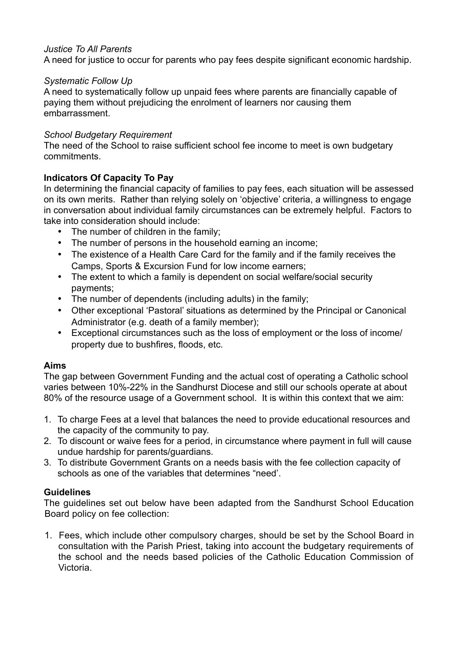## *Justice To All Parents*

A need for justice to occur for parents who pay fees despite significant economic hardship.

#### *Systematic Follow Up*

A need to systematically follow up unpaid fees where parents are financially capable of paying them without prejudicing the enrolment of learners nor causing them embarrassment.

### *School Budgetary Requirement*

The need of the School to raise sufficient school fee income to meet is own budgetary commitments.

## **Indicators Of Capacity To Pay**

In determining the financial capacity of families to pay fees, each situation will be assessed on its own merits. Rather than relying solely on 'objective' criteria, a willingness to engage in conversation about individual family circumstances can be extremely helpful. Factors to take into consideration should include:

- The number of children in the family:
- The number of persons in the household earning an income;
- The existence of a Health Care Card for the family and if the family receives the Camps, Sports & Excursion Fund for low income earners;
- The extent to which a family is dependent on social welfare/social security payments;
- The number of dependents (including adults) in the family;
- Other exceptional 'Pastoral' situations as determined by the Principal or Canonical Administrator (e.g. death of a family member);
- Exceptional circumstances such as the loss of employment or the loss of income/ property due to bushfires, floods, etc.

#### **Aims**

The gap between Government Funding and the actual cost of operating a Catholic school varies between 10%-22% in the Sandhurst Diocese and still our schools operate at about 80% of the resource usage of a Government school. It is within this context that we aim:

- 1. To charge Fees at a level that balances the need to provide educational resources and the capacity of the community to pay.
- 2. To discount or waive fees for a period, in circumstance where payment in full will cause undue hardship for parents/guardians.
- 3. To distribute Government Grants on a needs basis with the fee collection capacity of schools as one of the variables that determines "need'.

## **Guidelines**

The guidelines set out below have been adapted from the Sandhurst School Education Board policy on fee collection:

1. Fees, which include other compulsory charges, should be set by the School Board in consultation with the Parish Priest, taking into account the budgetary requirements of the school and the needs based policies of the Catholic Education Commission of Victoria.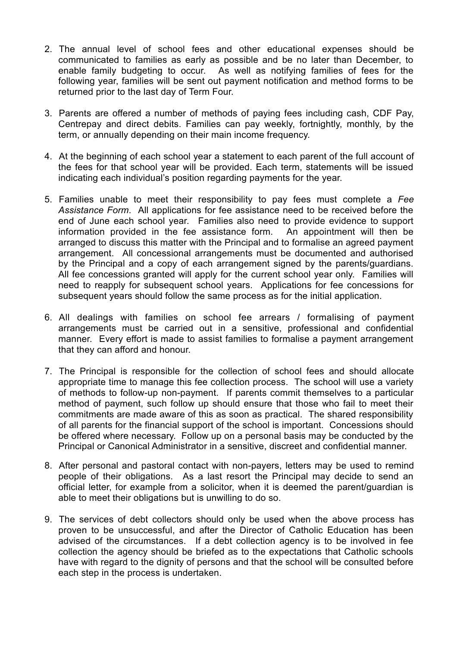- 2. The annual level of school fees and other educational expenses should be communicated to families as early as possible and be no later than December, to enable family budgeting to occur. As well as notifying families of fees for the following year, families will be sent out payment notification and method forms to be returned prior to the last day of Term Four.
- 3. Parents are offered a number of methods of paying fees including cash, CDF Pay, Centrepay and direct debits. Families can pay weekly, fortnightly, monthly, by the term, or annually depending on their main income frequency.
- 4. At the beginning of each school year a statement to each parent of the full account of the fees for that school year will be provided. Each term, statements will be issued indicating each individual's position regarding payments for the year.
- 5. Families unable to meet their responsibility to pay fees must complete a *Fee Assistance Form*. All applications for fee assistance need to be received before the end of June each school year. Families also need to provide evidence to support information provided in the fee assistance form. An appointment will then be arranged to discuss this matter with the Principal and to formalise an agreed payment arrangement. All concessional arrangements must be documented and authorised by the Principal and a copy of each arrangement signed by the parents/guardians. All fee concessions granted will apply for the current school year only. Families will need to reapply for subsequent school years. Applications for fee concessions for subsequent years should follow the same process as for the initial application.
- 6. All dealings with families on school fee arrears / formalising of payment arrangements must be carried out in a sensitive, professional and confidential manner. Every effort is made to assist families to formalise a payment arrangement that they can afford and honour.
- 7. The Principal is responsible for the collection of school fees and should allocate appropriate time to manage this fee collection process. The school will use a variety of methods to follow-up non-payment. If parents commit themselves to a particular method of payment, such follow up should ensure that those who fail to meet their commitments are made aware of this as soon as practical. The shared responsibility of all parents for the financial support of the school is important. Concessions should be offered where necessary. Follow up on a personal basis may be conducted by the Principal or Canonical Administrator in a sensitive, discreet and confidential manner.
- 8. After personal and pastoral contact with non-payers, letters may be used to remind people of their obligations. As a last resort the Principal may decide to send an official letter, for example from a solicitor, when it is deemed the parent/guardian is able to meet their obligations but is unwilling to do so.
- 9. The services of debt collectors should only be used when the above process has proven to be unsuccessful, and after the Director of Catholic Education has been advised of the circumstances. If a debt collection agency is to be involved in fee collection the agency should be briefed as to the expectations that Catholic schools have with regard to the dignity of persons and that the school will be consulted before each step in the process is undertaken.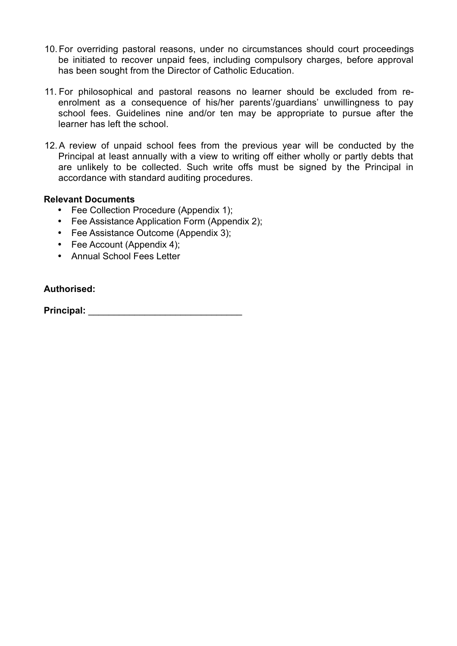- 10. For overriding pastoral reasons, under no circumstances should court proceedings be initiated to recover unpaid fees, including compulsory charges, before approval has been sought from the Director of Catholic Education.
- 11. For philosophical and pastoral reasons no learner should be excluded from reenrolment as a consequence of his/her parents'/guardians' unwillingness to pay school fees. Guidelines nine and/or ten may be appropriate to pursue after the learner has left the school.
- 12. A review of unpaid school fees from the previous year will be conducted by the Principal at least annually with a view to writing off either wholly or partly debts that are unlikely to be collected. Such write offs must be signed by the Principal in accordance with standard auditing procedures.

## **Relevant Documents**

- Fee Collection Procedure (Appendix 1);
- Fee Assistance Application Form (Appendix 2);
- Fee Assistance Outcome (Appendix 3);
- Fee Account (Appendix 4);
- Annual School Fees Letter

#### **Authorised:**

**Principal:** \_\_\_\_\_\_\_\_\_\_\_\_\_\_\_\_\_\_\_\_\_\_\_\_\_\_\_\_\_\_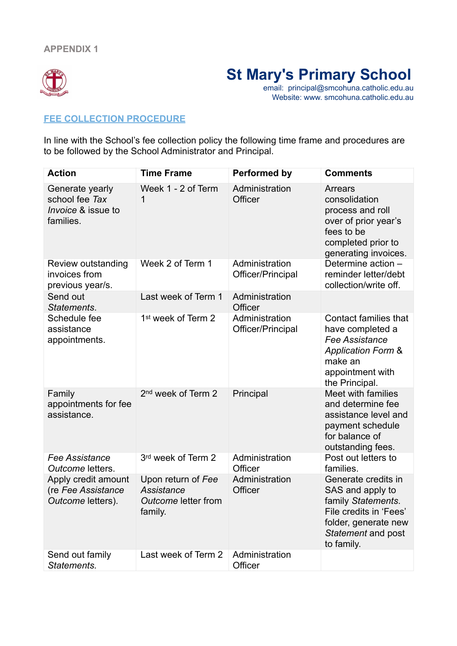

# **St Mary's Primary School**

email: principal@smcohuna.catholic.edu.au Website: www. smcohuna.catholic.edu.au

### **FEE COLLECTION PROCEDURE**

In line with the School's fee collection policy the following time frame and procedures are to be followed by the School Administrator and Principal.

| <b>Action</b>                                                                   | <b>Time Frame</b>                                                  | <b>Performed by</b>                 | <b>Comments</b>                                                                                                                                             |
|---------------------------------------------------------------------------------|--------------------------------------------------------------------|-------------------------------------|-------------------------------------------------------------------------------------------------------------------------------------------------------------|
| Generate yearly<br>school fee Tax<br><i>Invoice &amp; issue to</i><br>families. | Week 1 - 2 of Term<br>1                                            | Administration<br>Officer           | <b>Arrears</b><br>consolidation<br>process and roll<br>over of prior year's<br>fees to be<br>completed prior to<br>generating invoices.                     |
| Review outstanding<br>invoices from<br>previous year/s.                         | Week 2 of Term 1                                                   | Administration<br>Officer/Principal | Determine action -<br>reminder letter/debt<br>collection/write off.                                                                                         |
| Send out<br>Statements.                                                         | Last week of Term 1                                                | Administration<br>Officer           |                                                                                                                                                             |
| Schedule fee<br>assistance<br>appointments.                                     | 1 <sup>st</sup> week of Term 2                                     | Administration<br>Officer/Principal | <b>Contact families that</b><br>have completed a<br><b>Fee Assistance</b><br><b>Application Form &amp;</b><br>make an<br>appointment with<br>the Principal. |
| Family<br>appointments for fee<br>assistance.                                   | 2 <sup>nd</sup> week of Term 2                                     | Principal                           | Meet with families<br>and determine fee<br>assistance level and<br>payment schedule<br>for balance of<br>outstanding fees.                                  |
| Fee Assistance<br>Outcome letters.                                              | 3rd week of Term 2                                                 | Administration<br>Officer           | Post out letters to<br>families.                                                                                                                            |
| Apply credit amount<br>(re Fee Assistance<br>Outcome letters).                  | Upon return of Fee<br>Assistance<br>Outcome letter from<br>family. | Administration<br>Officer           | Generate credits in<br>SAS and apply to<br>family Statements.<br>File credits in 'Fees'<br>folder, generate new<br>Statement and post<br>to family.         |
| Send out family<br>Statements.                                                  | Last week of Term 2                                                | Administration<br>Officer           |                                                                                                                                                             |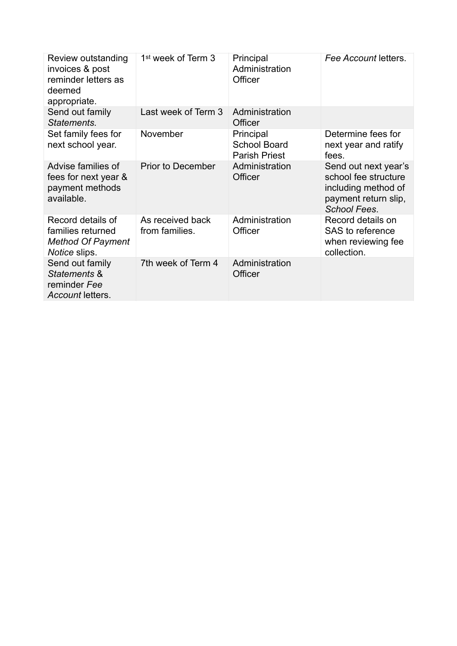| Review outstanding<br>invoices & post<br>reminder letters as<br>deemed<br>appropriate.     | 1 <sup>st</sup> week of Term 3     | Principal<br>Administration<br>Officer                   | Fee Account letters.                                                                                               |
|--------------------------------------------------------------------------------------------|------------------------------------|----------------------------------------------------------|--------------------------------------------------------------------------------------------------------------------|
| Send out family<br>Statements.                                                             | Last week of Term 3                | Administration<br>Officer                                |                                                                                                                    |
| Set family fees for<br>next school year.                                                   | November                           | Principal<br><b>School Board</b><br><b>Parish Priest</b> | Determine fees for<br>next year and ratify<br>fees.                                                                |
| Advise families of<br>fees for next year &<br>payment methods<br>available.                | <b>Prior to December</b>           | Administration<br>Officer                                | Send out next year's<br>school fee structure<br>including method of<br>payment return slip,<br><b>School Fees.</b> |
| Record details of<br>families returned<br><b>Method Of Payment</b><br><i>Notice</i> slips. | As received back<br>from families. | Administration<br>Officer                                | Record details on<br>SAS to reference<br>when reviewing fee<br>collection.                                         |
| Send out family<br>Statements &<br>reminder Fee<br>Account letters.                        | 7th week of Term 4                 | Administration<br>Officer                                |                                                                                                                    |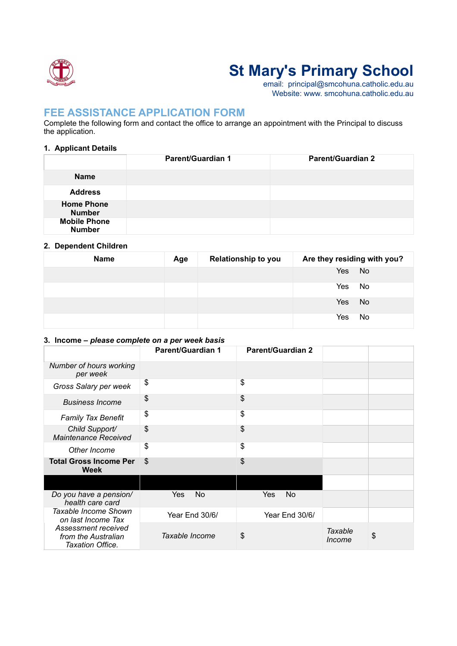

# **St Mary's Primary School**

email: principal@smcohuna.catholic.edu.au Website: www. smcohuna.catholic.edu.au

## **FEE ASSISTANCE APPLICATION FORM**

Complete the following form and contact the office to arrange an appointment with the Principal to discuss the application.

#### **1. Applicant Details**

|                                      | <b>Parent/Guardian 1</b> | <b>Parent/Guardian 2</b> |
|--------------------------------------|--------------------------|--------------------------|
| <b>Name</b>                          |                          |                          |
| <b>Address</b>                       |                          |                          |
| <b>Home Phone</b><br><b>Number</b>   |                          |                          |
| <b>Mobile Phone</b><br><b>Number</b> |                          |                          |

#### **2. Dependent Children**

| <b>Name</b> | Age | <b>Relationship to you</b> | Are they residing with you? |
|-------------|-----|----------------------------|-----------------------------|
|             |     |                            | Yes<br>No                   |
|             |     |                            | No<br>Yes                   |
|             |     |                            | No<br>Yes                   |
|             |     |                            | No<br>Yes                   |

#### **3. Income –** *please complete on a per week basis*

|                                                                | <b>Parent/Guardian 1</b> | <b>Parent/Guardian 2</b> |                   |    |
|----------------------------------------------------------------|--------------------------|--------------------------|-------------------|----|
| Number of hours working<br>per week                            |                          |                          |                   |    |
| Gross Salary per week                                          | \$                       | \$                       |                   |    |
| <b>Business Income</b>                                         | \$                       | \$                       |                   |    |
| <b>Family Tax Benefit</b>                                      | \$                       | \$                       |                   |    |
| Child Support/<br><b>Maintenance Received</b>                  | \$                       | \$                       |                   |    |
| Other Income                                                   | \$                       | \$                       |                   |    |
| <b>Total Gross Income Per</b><br>Week                          | \$                       | \$                       |                   |    |
|                                                                |                          |                          |                   |    |
| Do you have a pension/<br>health care card                     | No<br>Yes                | No<br>Yes                |                   |    |
| Taxable Income Shown<br>on last Income Tax                     | Year End 30/6/           | Year End 30/6/           |                   |    |
| Assessment received<br>from the Australian<br>Taxation Office. | Taxable Income           | \$                       | Taxable<br>Income | \$ |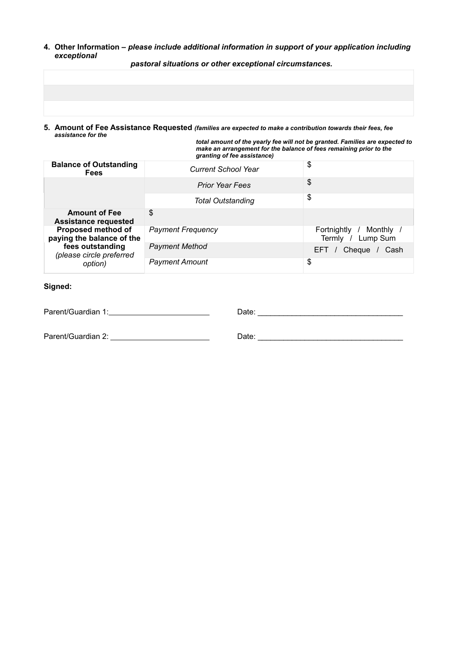**4. Other Information –** *please include additional information in support of your application including exceptional*

*pastoral situations or other exceptional circumstances.*

**5. Amount of Fee Assistance Requested** *(families are expected to make a contribution towards their fees, fee assistance for the* 

*total amount of the yearly fee will not be granted. Families are expected to make an arrangement for the balance of fees remaining prior to the granting of fee assistance)* 

| <b>Balance of Outstanding</b><br><b>Fees</b>            | <b>Current School Year</b> | \$                                            |
|---------------------------------------------------------|----------------------------|-----------------------------------------------|
|                                                         | <b>Prior Year Fees</b>     | \$                                            |
|                                                         | <b>Total Outstanding</b>   | \$                                            |
| <b>Amount of Fee</b><br><b>Assistance requested</b>     | \$                         |                                               |
| <b>Proposed method of</b><br>paying the balance of the  | <b>Payment Frequency</b>   | Fortnightly<br>Monthly /<br>Termly / Lump Sum |
| fees outstanding<br>(please circle preferred<br>option) | <b>Payment Method</b>      | Cheque<br>EFT /<br>Cash                       |
|                                                         | <b>Payment Amount</b>      | \$                                            |

#### **Signed:**

Parent/Guardian 1: Date: \_\_\_\_\_\_\_\_\_\_\_\_\_\_\_\_\_\_\_\_\_\_\_\_\_\_\_\_\_\_\_\_\_\_

Parent/Guardian 2: Date: \_\_\_\_\_\_\_\_\_\_\_\_\_\_\_\_\_\_\_\_\_\_\_\_\_\_\_\_\_\_\_\_\_\_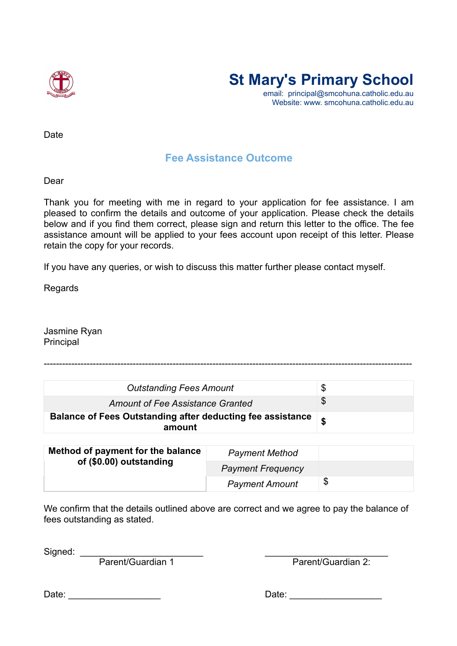



email: principal@smcohuna.catholic.edu.au Website: www. smcohuna.catholic.edu.au

Date

## **Fee Assistance Outcome**

Dear

Thank you for meeting with me in regard to your application for fee assistance. I am pleased to confirm the details and outcome of your application. Please check the details below and if you find them correct, please sign and return this letter to the office. The fee assistance amount will be applied to your fees account upon receipt of this letter. Please retain the copy for your records.

If you have any queries, or wish to discuss this matter further please contact myself.

Regards

Jasmine Ryan **Principal** 

| <b>Outstanding Fees Amount</b>                                              | \$ |
|-----------------------------------------------------------------------------|----|
| Amount of Fee Assistance Granted                                            |    |
| <b>Balance of Fees Outstanding after deducting fee assistance</b><br>amount |    |

------------------------------------------------------------------------------------------------------------------------

| Method of payment for the balance<br>of (\$0.00) outstanding | <b>Payment Method</b>    |    |
|--------------------------------------------------------------|--------------------------|----|
|                                                              | <b>Payment Frequency</b> |    |
|                                                              | <b>Payment Amount</b>    | \$ |

We confirm that the details outlined above are correct and we agree to pay the balance of fees outstanding as stated.

 $Signed:$ 

Parent/Guardian 1 Parent/Guardian 2:

Date: \_\_\_\_\_\_\_\_\_\_\_\_\_\_\_\_\_\_ Date: \_\_\_\_\_\_\_\_\_\_\_\_\_\_\_\_\_\_